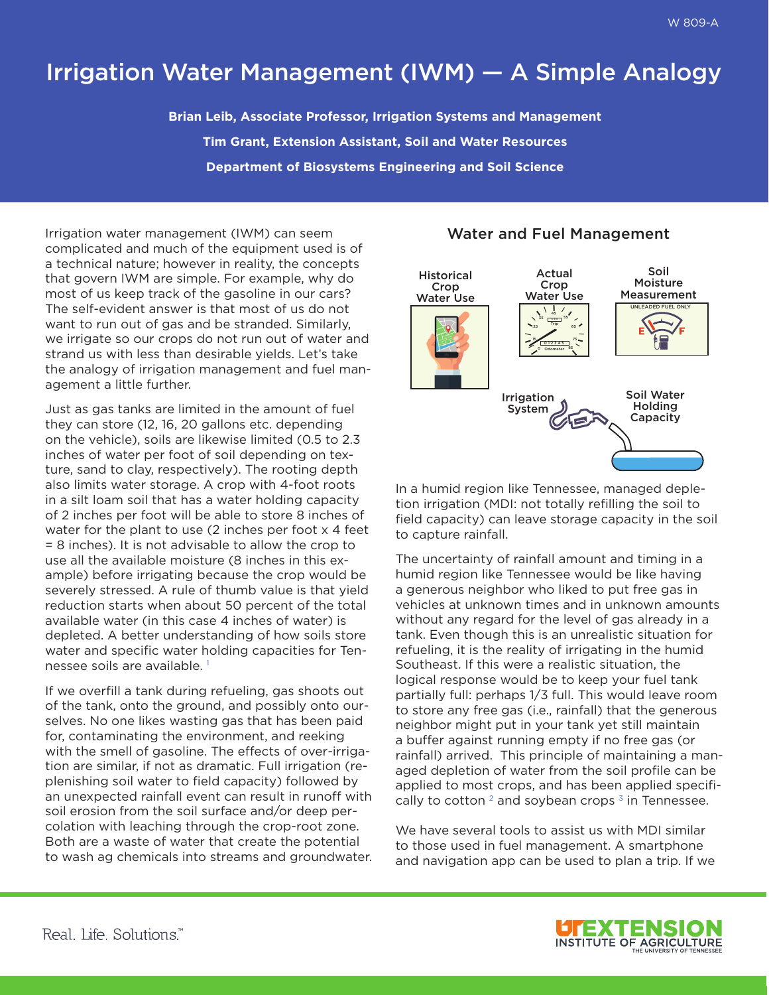## Irrigation Water Management (IWM) — A Simple Analogy

**Brian Leib, Associate Professor, Irrigation Systems and Management Tim Grant, Extension Assistant, Soil and Water Resources Department of Biosystems Engineering and Soil Science**

Irrigation water management (IWM) can seem complicated and much of the equipment used is of a technical nature; however in reality, the concepts that govern IWM are simple. For example, why do most of us keep track of the gasoline in our cars? The self-evident answer is that most of us do not want to run out of gas and be stranded. Similarly, we irrigate so our crops do not run out of water and strand us with less than desirable yields. Let's take the analogy of irrigation management and fuel management a little further.

Just as gas tanks are limited in the amount of fuel they can store (12, 16, 20 gallons etc. depending on the vehicle), soils are likewise limited (0.5 to 2.3 inches of water per foot of soil depending on texture, sand to clay, respectively). The rooting depth also limits water storage. A crop with 4-foot roots in a silt loam soil that has a water holding capacity of 2 inches per foot will be able to store 8 inches of water for the plant to use (2 inches per foot x 4 feet = 8 inches). It is not advisable to allow the crop to use all the available moisture (8 inches in this example) before irrigating because the crop would be severely stressed. A rule of thumb value is that yield reduction starts when about 50 percent of the total available water (in this case 4 inches of water) is depleted. A better understanding of how soils store water and specific water holding capacities for Tennessee soils are available. 1

If we overfill a tank during refueling, gas shoots out of the tank, onto the ground, and possibly onto ourselves. No one likes wasting gas that has been paid for, contaminating the environment, and reeking with the smell of gasoline. The effects of over-irrigation are similar, if not as dramatic. Full irrigation (replenishing soil water to field capacity) followed by an unexpected rainfall event can result in runoff with soil erosion from the soil surface and/or deep percolation with leaching through the crop-root zone. Both are a waste of water that create the potential to wash ag chemicals into streams and groundwater.

## Water and Fuel Management



In a humid region like Tennessee, managed depletion irrigation (MDI: not totally refilling the soil to field capacity) can leave storage capacity in the soil to capture rainfall.

The uncertainty of rainfall amount and timing in a humid region like Tennessee would be like having a generous neighbor who liked to put free gas in vehicles at unknown times and in unknown amounts without any regard for the level of gas already in a tank. Even though this is an unrealistic situation for refueling, it is the reality of irrigating in the humid Southeast. If this were a realistic situation, the logical response would be to keep your fuel tank partially full: perhaps 1/3 full. This would leave room to store any free gas (i.e., rainfall) that the generous neighbor might put in your tank yet still maintain a buffer against running empty if no free gas (or rainfall) arrived. This principle of maintaining a managed depletion of water from the soil profile can be applied to most crops, and has been applied specifically to cotton  $2$  and soybean crops  $3$  in Tennessee.

We have several tools to assist us with MDI similar to those used in fuel management. A smartphone and navigation app can be used to plan a trip. If we